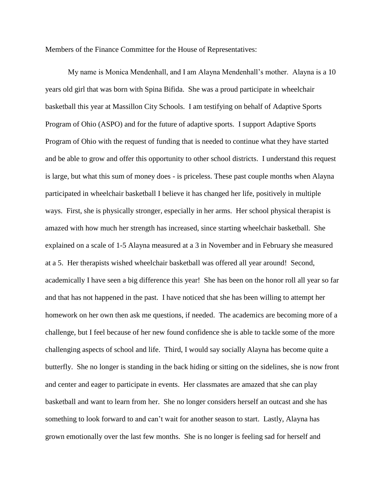Members of the Finance Committee for the House of Representatives:

My name is Monica Mendenhall, and I am Alayna Mendenhall's mother. Alayna is a 10 years old girl that was born with Spina Bifida. She was a proud participate in wheelchair basketball this year at Massillon City Schools. I am testifying on behalf of Adaptive Sports Program of Ohio (ASPO) and for the future of adaptive sports. I support Adaptive Sports Program of Ohio with the request of funding that is needed to continue what they have started and be able to grow and offer this opportunity to other school districts. I understand this request is large, but what this sum of money does - is priceless. These past couple months when Alayna participated in wheelchair basketball I believe it has changed her life, positively in multiple ways. First, she is physically stronger, especially in her arms. Her school physical therapist is amazed with how much her strength has increased, since starting wheelchair basketball. She explained on a scale of 1-5 Alayna measured at a 3 in November and in February she measured at a 5. Her therapists wished wheelchair basketball was offered all year around! Second, academically I have seen a big difference this year! She has been on the honor roll all year so far and that has not happened in the past. I have noticed that she has been willing to attempt her homework on her own then ask me questions, if needed. The academics are becoming more of a challenge, but I feel because of her new found confidence she is able to tackle some of the more challenging aspects of school and life. Third, I would say socially Alayna has become quite a butterfly. She no longer is standing in the back hiding or sitting on the sidelines, she is now front and center and eager to participate in events. Her classmates are amazed that she can play basketball and want to learn from her. She no longer considers herself an outcast and she has something to look forward to and can't wait for another season to start. Lastly, Alayna has grown emotionally over the last few months. She is no longer is feeling sad for herself and